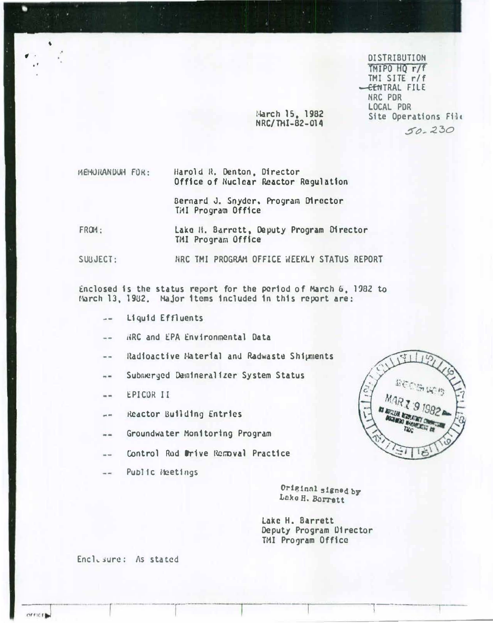**DISTRIBUTION** TMIPO HO r/f TMI SITE r/f **CENTRAL FILE** NRC PDR LOCAL PDR Site Operations File  $50 - 230$ 

March 15, 1982 NRC/THI-82-014

MENURANDUM FOR: Harold R. Denton, Director Office of Nuclear Reactor Regulation

> Bernard J. Snyder. Program Director Till Program Office

FROM: Lake H. Barrett, Deputy Program Director TMI Program Office

HRC TMI PROGRAM OFFICE WEEKLY STATUS REPORT SUBJECT:

Enclosed is the status report for the period of March 6, 1982 to March 13, 1982. Major items included in this report are:

- Liquid Effluents  $-$
- HRC and EPA Environmental Data  $\sim$   $-$
- Radioactive Material and Radwaste Shipments  $-1$
- Submerged Damineralizer System Status  $\frac{1}{2}$
- EPICOR II  $\sim$
- Reactor Building Entries  $\rightarrow$
- Groundwater Monitoring Program  $\frac{1}{2}$
- Control Rod Mrive Removal Practice  $- -$
- Public Heetings  $-1$

Original signed by Lake H. Borrett

Lake H. Barrett Deputy Program Director TMI Program Office

Enclusure: As stated

OFFICE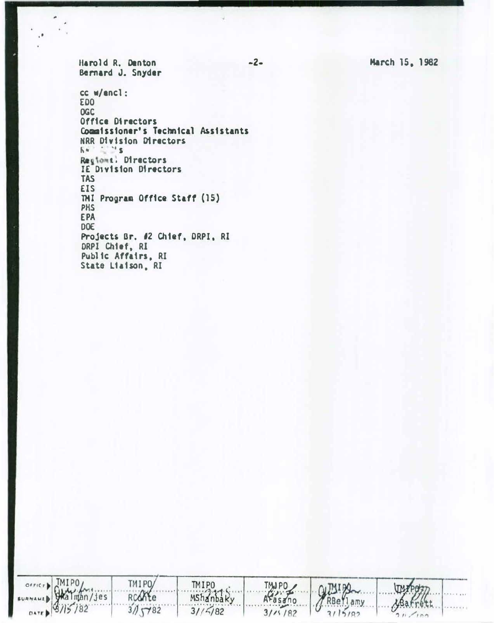Harold R. Denton Bernard J. Snyder

cc w/encl: **EDO OGC** Office Directors Commissioner's Technical Assistants NRR Division Directors  $64 - 15$ Regions: Directors IE Division Directors **TAS EIS** TMI Program Office Staff (15) **PHS EPA DOE** Projects Br. #2 Chief, DRPI, RI DRPI Chief, RI Public Affairs, RI State Liaison, RI

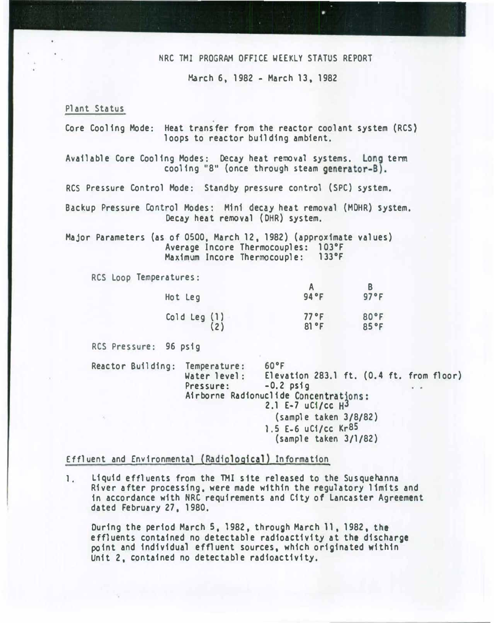#### NRC TMI PROGRAM OFFICE WEEKLY STATUS REPORT

March 6, 1982 - March 13, 1982

Plant Status

Core Cooling Mode: Heat transfer from the reactor coolant system (RCS} loops to reactor building ambient.

Available Core Cooling Modes: Decay heat removal systems. Long term cooling "8" (once through steam generator-B).

RCS Pressure Control Mode: Standby pressure control {SPC) system.

Backup Pressure Control Modes: M1n1 decay heat removal (MOHR) system. Decay heat removal (DHR) system.

Major Parameters (as of 0500, March 12, 1982) {approximate values) Average Incore Thermocouples: 103°F Maximum Incore Thermocouple: 133°F

RCS loop Temperatures:

| Hot Leg                 | 94 °F        | 97°F         |
|-------------------------|--------------|--------------|
| Cold Leg $(1)$<br>$(2)$ | 77°F<br>81°F | 80°F<br>85°F |

RCS Pressure: 96 psig

Reactor Building: Temperature: 60°F<br>Water level: Eleva Water level: Elevation 283.1 ft. (0.4 ft. from floor)<br>Pressure: -0.2 psig Pressure: -0.2 psig Airborne Radionucli de Concentrations: 2.1 E-7 uCi/cc H3 (sample taken 3/8/82) 1.5 E-6 uCi/CC Kr<sup>85</sup> (sample taken 3/1/82)

Effluent and Environmental {Radiological) Information

1. liquid effluents from the TMI s 1te released to the Susquehanna River after processing. were made w1thin the regulatory limits and in accordance with NRC requirements and City of Lancaster Agreement dated February 27, 1980.

During the period March 5, 1982, through March 11, 1982, the effluents contained no detectable radioactivity at the discharge point and individual effluent sources, which originated within Unit 2, contained no detectable radioactivity.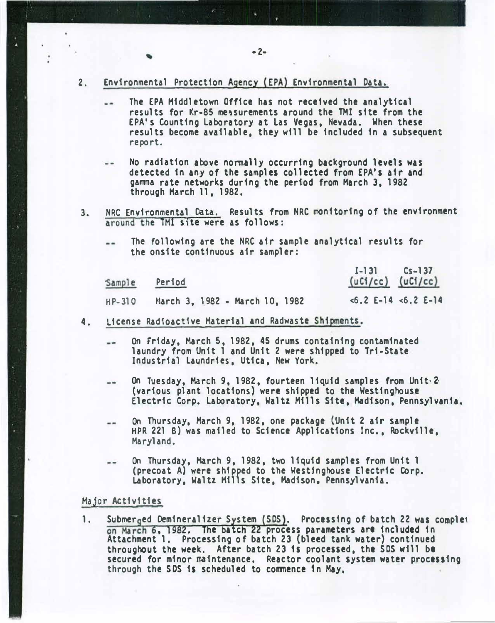- 2. Environmental Protection Agency (EPA) Environmental Data.
	- The EPA Middletown Office has not received the analytical  $-$ results for Kr-85 measurements around the TMI site from the EPA's Counting Laboratory at Las Vegas, Nevada. When these results become available, they will be included in a subsequent report.
	- No radiation above normally occurring background levels was  $$ detected in any of the samples collected from EPA's air and gamma rate networks during the period from March 3, 1982 through March 11, 1982.
- 3. NRC Environmental Data. Results from NRC monitoring of the environment around the TMl site were as follows:
	- The following are the NRC air sample analytical results for  $\sim$   $$ the onsite continuous air sampler:

| Sample   | Period                         | $L =  3 $ $LS =  3 $<br>$(uC1/cc)$ $(uC1/cc)$ |
|----------|--------------------------------|-----------------------------------------------|
| $HP-310$ | March 3, 1982 - March 10, 1982 | $\le 6.2$ E-14 $\le 6.2$ E-14                 |

- 4. License Radioactive Material and Radwaste Shipments.
	- On Friday, March 5, 1982, 45 drums containing contaminated  $\blacksquare$ laundry from Unit 1 and Unit 2 were shipped to Tri-State Industrial Laundries, Utica, New York.
	- On Tuesday, March 9, 1982, fourteen liquid samples from Unit. 2  $\sim$   $\sim$ (various plant locations) were shipped to the Westinghouse Electric Corp. Laboratory, Waltz Mills Site, Madison, Pennsylvania.
	- On Thursday, March 9, 1982, one package {Unit 2 air sample  $- -$ HPR 221 B) was mailed to Science Applications Inc., Rockville, Maryland.
	- On Thursday, March 9, 1982, two liquid samples from Unit 1<br>(precoat A) were shipped to the Westinghouse Electric Corp. (precoat A) were shipped to the Westinghouse Electric Corp.<br>Laboratory, Waltz Mills Site, Madison, Pennsylvania.

#### Major Activities

1. Submerged Demineralizer System (SDS). Processing of batch 22 was complet , 1982. The batch 22 process parameters are included in Attachment 1. Processing of batch 23 (bleed tank water) continued throughout the week. After batch 23 is processed, the SDS will be secured for minor maintenance. Reactor coolant system water processing through the SDS is scheduled to commence 1n May, .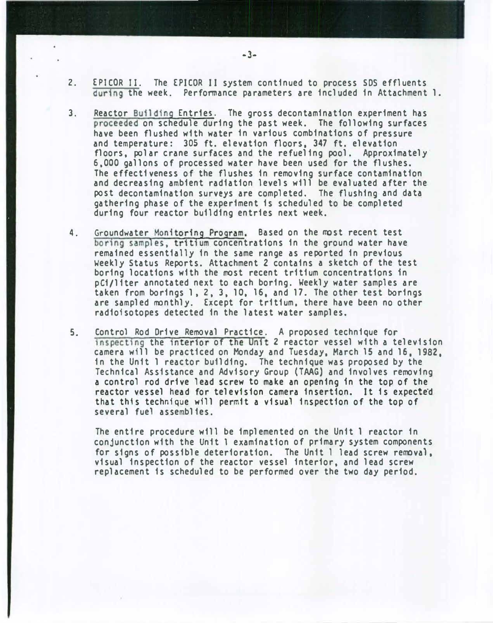- 2. EPICOR 11. The EPICOR II system continued to process SDS effluents during the week. Performance parameters are included in Attachment 1.
- 3. Reactor Building Entries. The gross decontamination experiment has proceeded on schedule during the past week. The following surfaces have been flushed with water in various combinations of pressure and temperature: 305 ft. elevation floors, 347 ft. elevation floors, polar crane surfaces and the refueling pool. Approximately 6,000 gallons of processed water have been used for the flushes. The effectiveness of the flushes in removing surface contamination and decreasing ambient radiation levels will be evaluated after the post decontamination surveys are completed. The flushing and data gathering phase of the experiment is scheduled to be completed during four reactor building entries next week.
- 4. Groundwater Monitoring Program. Based on the most recent test boring samples, tritium concentrations in the ground water have remained essentially in the same range as reported in previous Weekly Status Reports. Attachment 2 contains a sketch of the test boring locations with the most recent tritium concentrations 1n pCi/liter annotated next to each boring. Weekly water samples are taken from borings 1, 2, 3, 10, 16, and 17. The other test borings are sampled monthly. Except for tritium. there have been no other radioisotopes detected in the latest water samples.
- 5. Control Rod Drive Removal Practice. A proposed technique for inspecting the interior of the Unit 2 reactor vessel with a television camera will be practiced on Monday and Tuesday, March 15 and 16, 1982, in the Unit 1 reactor building. The technique was proposed by the Technical Assistance and Advisory Group (TAAG) and involves removing a control rod drive lead screw to make an opening 1n the top of the reactor vessel head for television camera insertion. It is expected that this technique will permit a visual inspection of the top of several fuel assemblies.

The entire procedure will be implemented on the Unit 1 reactor in conjunction with the Unit 1 examination of primary system components for signs of possible deterioration. The Unit 1 lead screw removal, visual inspection of the reactor vessel interior, and lead screw replacement is scheduled to be performed over the two day period.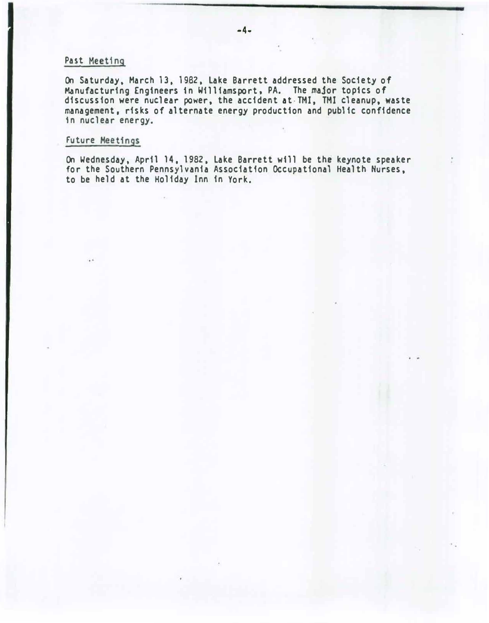### Past Meeting

On Saturday. March 13. 1982, Lake Barrett addressed the Society of Manufacturing Engineers in Williamsport, PA. The major topics of discussion were nuclear power, the accident at·TMI, TMI cleanup, waste management, risks of alternate energy production and public confidence in nuclear energy.

### Future Meetings

On Wednesday, April 14, 1982, Lake Barrett will be the keynote speaker for the Southern Pennsylvania Association Occupational Health Nurses, to be held at the Holiday Inn in York.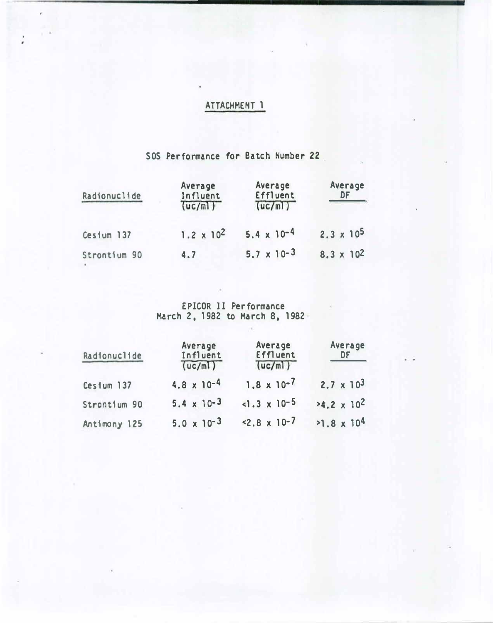# ATTACHMENT 1

,

## SOS Performance for Batch Number 22

| Radionuclide | Average<br>Influent<br>(uc/m) | Average<br>Effluent<br>(uc/ml) | Average<br>DF       |
|--------------|-------------------------------|--------------------------------|---------------------|
| Cestum 137   | $1.2 \times 10^2$             | $5.4 \times 10^{-4}$           | $2.3 \times 10^5$   |
| Strontium 90 | 4.7                           | $5.7 \times 10^{-3}$           | $8.3 \times 10^{2}$ |

EPICOR II Performance<br>March 2, 1982 to March 8, 1982

| Radionuclide | Average<br>Influent<br>(uc/m) | Average<br>Effluent<br>(uc/ml) | Average<br>DF        |
|--------------|-------------------------------|--------------------------------|----------------------|
| Cesium 137   | $4.8 \times 10^{-4}$          | $1.8 \times 10^{-7}$           | $2.7 \times 10^{3}$  |
| Strontium 90 | $5.4 \times 10^{-3}$          | $1.3 \times 10^{-5}$           | $24.2 \times 10^2$   |
| Antimony 125 | $5.0 \times 10^{-3}$          | $< 2.8 \times 10^{-7}$         | $>1.8 \times 10^{4}$ |